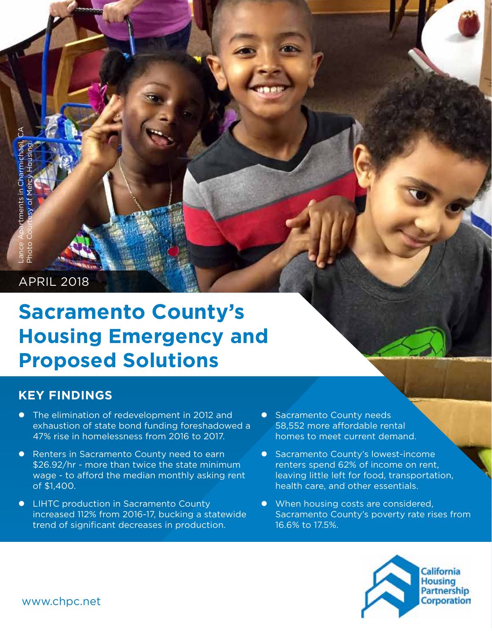# APRIL 2018

# **Sacramento County's Housing Emergency and Proposed Solutions** We can applied to the elemination<br>
and the elements in Charmichael<br>
APRIL 2018<br>
Sacramic Carrier Apartments in Charamichael, CA Photo Court<br>
The elimination of states in Sacra<br>
\$26.92/hr - more wage - to afforce wage - to

# **KEY FINDINGS**

- The elimination of redevelopment in 2012 and exhaustion of state bond funding foreshadowed a 47% rise in homelessness from 2016 to 2017.
- **•** Renters in Sacramento County need to earn \$26.92/hr - more than twice the state minimum wage - to afford the median monthly asking rent of \$1,400.
- LIHTC production in Sacramento County increased 112% from 2016-17, bucking a statewide trend of significant decreases in production.
- Sacramento County needs 58,552 more affordable rental homes to meet current demand.
- **•** Sacramento County's lowest-income renters spend 62% of income on rent, leaving little left for food, transportation, health care, and other essentials.
- When housing costs are considered, Sacramento County's poverty rate rises from 16.6% to 17.5%.

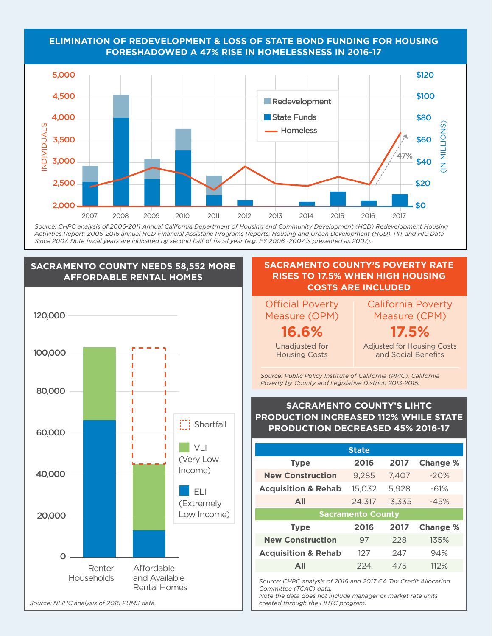### **ELIMINATION OF REDEVELOPMENT & LOSS OF STATE BOND FUNDING FOR HOUSING FORESHADOWED A 47% RISE IN HOMELESSNESS IN 2016-17**



*Source: CHPC analysis of 2006-2011 Annual California Department of Housing and Community Development (HCD) Redevelopment Housing*  2,500 *Activities Report; 2006-2016 annual HCD Financial Assistane Programs Reports. Housing and Urban Development (HUD). PIT and HIC Data Since 2007. Note fiscal years are indicated by second half of fiscal year (e.g. FY 2006 -2007 is presented as 2007).*

 $\mathbf{1}$ 

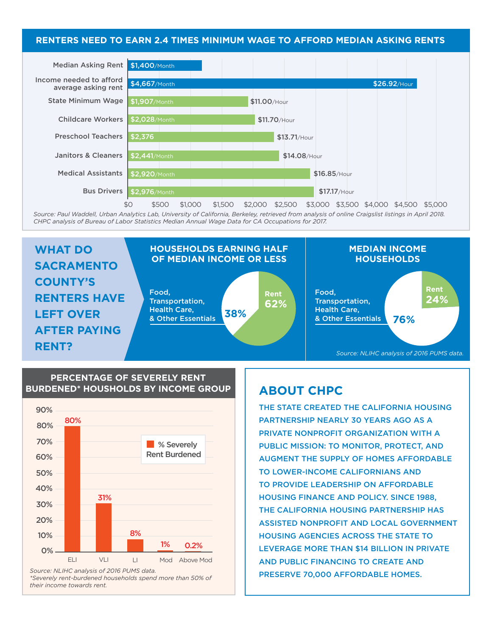#### **RENTERS NEED TO EARN 2.4 TIMES MINIMUM WAGE TO AFFORD MEDIAN ASKING RENTS**



*Source: Paul Waddell, Urban Analytics Lab, University of California, Berkeley, retrieved from analysis of online Craigslist listings in April 2018.*  \$120 *CHPC analysis of Bureau of Labor Statistics Median Annual Wage Data for CA Occupations for 2017.*



#### **PERCENTAGE OF SEVERELY RENT BURDENED\* HOUSHOLDS BY INCOME GROUP**



*\*Severely rent-burdened households spend more than 50% of their income towards rent.*

# **ABOUT CHPC**

THE STATE CREATED THE CALIFORNIA HOUSING PARTNERSHIP NEARLY 30 YEARS AGO AS A PRIVATE NONPROFIT ORGANIZATION WITH A PUBLIC MISSION: TO MONITOR, PROTECT, AND AUGMENT THE SUPPLY OF HOMES AFFORDABLE TO LOWER-INCOME CALIFORNIANS AND TO PROVIDE LEADERSHIP ON AFFORDABLE HOUSING FINANCE AND POLICY. SINCE 1988, THE CALIFORNIA HOUSING PARTNERSHIP HAS ASSISTED NONPROFIT AND LOCAL GOVERNMENT HOUSING AGENCIES ACROSS THE STATE TO LEVERAGE MORE THAN \$14 BILLION IN PRIVATE AND PUBLIC FINANCING TO CREATE AND PRESERVE 70,000 AFFORDABLE HOMES.